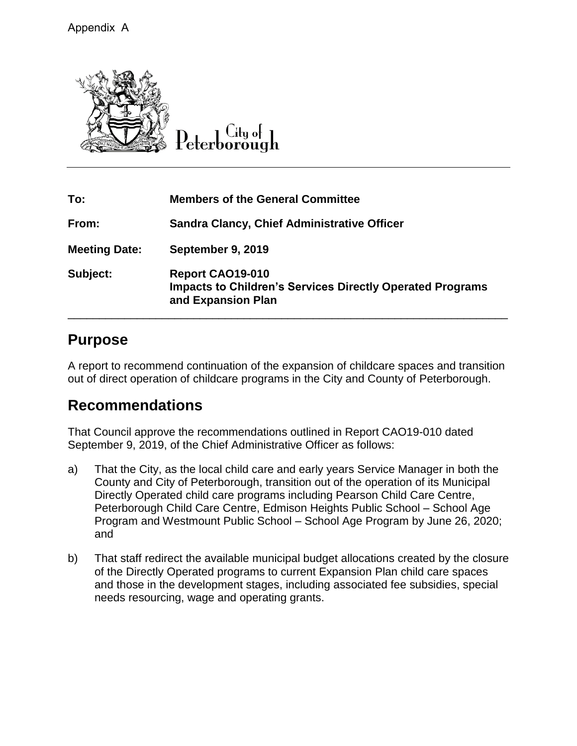

| To:                  | <b>Members of the General Committee</b>                                                                    |
|----------------------|------------------------------------------------------------------------------------------------------------|
| From:                | <b>Sandra Clancy, Chief Administrative Officer</b>                                                         |
| <b>Meeting Date:</b> | September 9, 2019                                                                                          |
| Subject:             | Report CAO19-010<br><b>Impacts to Children's Services Directly Operated Programs</b><br>and Expansion Plan |

## **Purpose**

A report to recommend continuation of the expansion of childcare spaces and transition out of direct operation of childcare programs in the City and County of Peterborough.

## **Recommendations**

That Council approve the recommendations outlined in Report CAO19-010 dated September 9, 2019, of the Chief Administrative Officer as follows:

- a) That the City, as the local child care and early years Service Manager in both the County and City of Peterborough, transition out of the operation of its Municipal Directly Operated child care programs including Pearson Child Care Centre, Peterborough Child Care Centre, Edmison Heights Public School – School Age Program and Westmount Public School – School Age Program by June 26, 2020; and
- b) That staff redirect the available municipal budget allocations created by the closure of the Directly Operated programs to current Expansion Plan child care spaces and those in the development stages, including associated fee subsidies, special needs resourcing, wage and operating grants.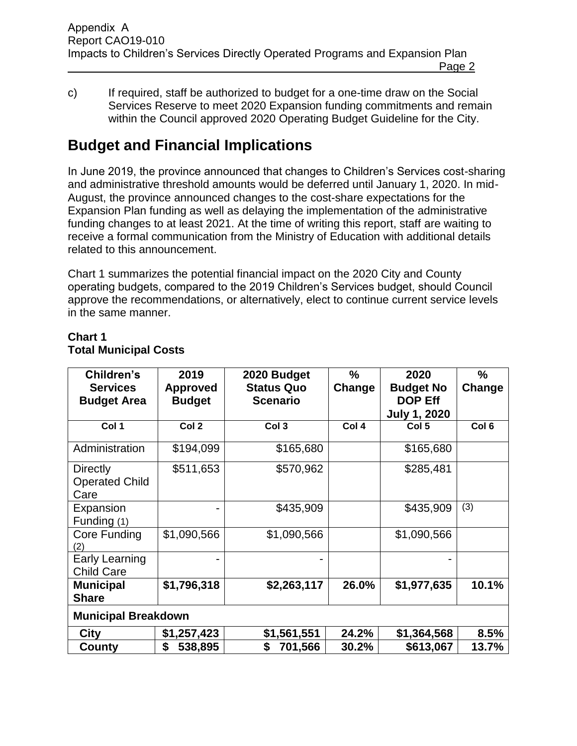- Page 2
- c) If required, staff be authorized to budget for a one-time draw on the Social Services Reserve to meet 2020 Expansion funding commitments and remain within the Council approved 2020 Operating Budget Guideline for the City.

# **Budget and Financial Implications**

In June 2019, the province announced that changes to Children's Services cost-sharing and administrative threshold amounts would be deferred until January 1, 2020. In mid-August, the province announced changes to the cost-share expectations for the Expansion Plan funding as well as delaying the implementation of the administrative funding changes to at least 2021. At the time of writing this report, staff are waiting to receive a formal communication from the Ministry of Education with additional details related to this announcement.

Chart 1 summarizes the potential financial impact on the 2020 City and County operating budgets, compared to the 2019 Children's Services budget, should Council approve the recommendations, or alternatively, elect to continue current service levels in the same manner.

| Children's<br><b>Services</b><br><b>Budget Area</b> | 2019<br><b>Approved</b><br><b>Budget</b> | 2020 Budget<br><b>Status Quo</b><br><b>Scenario</b> | $\frac{9}{6}$<br>Change | 2020<br><b>Budget No</b><br><b>DOP Eff</b><br><b>July 1, 2020</b> | $\frac{0}{0}$<br>Change |  |
|-----------------------------------------------------|------------------------------------------|-----------------------------------------------------|-------------------------|-------------------------------------------------------------------|-------------------------|--|
| Col 1                                               | Col <sub>2</sub>                         | Col <sub>3</sub>                                    | Col 4                   | Col 5                                                             | Col <sub>6</sub>        |  |
| Administration                                      | \$194,099                                | \$165,680                                           |                         | \$165,680                                                         |                         |  |
| <b>Directly</b><br><b>Operated Child</b><br>Care    | \$511,653                                | \$570,962                                           |                         | \$285,481                                                         |                         |  |
| Expansion<br>Funding (1)                            |                                          | \$435,909                                           |                         | \$435,909                                                         | (3)                     |  |
| Core Funding<br>(2)                                 | \$1,090,566                              | \$1,090,566                                         |                         | \$1,090,566                                                       |                         |  |
| Early Learning<br><b>Child Care</b>                 |                                          |                                                     |                         |                                                                   |                         |  |
| <b>Municipal</b><br><b>Share</b>                    | \$1,796,318                              | \$2,263,117                                         | 26.0%                   | \$1,977,635                                                       | 10.1%                   |  |
| <b>Municipal Breakdown</b>                          |                                          |                                                     |                         |                                                                   |                         |  |
| City                                                | \$1,257,423                              | \$1,561,551                                         | 24.2%                   | \$1,364,568                                                       | 8.5%                    |  |
| County                                              | 538,895<br>S                             | 701,566<br>S                                        | 30.2%                   | \$613,067                                                         | 13.7%                   |  |

## **Chart 1 Total Municipal Costs**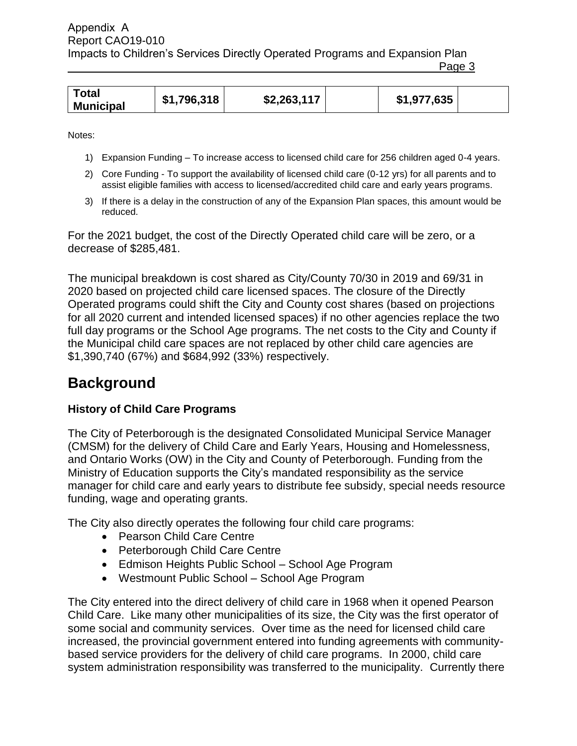|--|

| <b>Total</b><br><b>Municipal</b> | \$1,796,318 | \$2,263,117 | \$1,977,635 |  |
|----------------------------------|-------------|-------------|-------------|--|

Notes:

- 1) Expansion Funding To increase access to licensed child care for 256 children aged 0-4 years.
- 2) Core Funding To support the availability of licensed child care (0-12 yrs) for all parents and to assist eligible families with access to licensed/accredited child care and early years programs.
- 3) If there is a delay in the construction of any of the Expansion Plan spaces, this amount would be reduced.

For the 2021 budget, the cost of the Directly Operated child care will be zero, or a decrease of \$285,481.

The municipal breakdown is cost shared as City/County 70/30 in 2019 and 69/31 in 2020 based on projected child care licensed spaces. The closure of the Directly Operated programs could shift the City and County cost shares (based on projections for all 2020 current and intended licensed spaces) if no other agencies replace the two full day programs or the School Age programs. The net costs to the City and County if the Municipal child care spaces are not replaced by other child care agencies are \$1,390,740 (67%) and \$684,992 (33%) respectively.

## **Background**

#### **History of Child Care Programs**

The City of Peterborough is the designated Consolidated Municipal Service Manager (CMSM) for the delivery of Child Care and Early Years, Housing and Homelessness, and Ontario Works (OW) in the City and County of Peterborough. Funding from the Ministry of Education supports the City's mandated responsibility as the service manager for child care and early years to distribute fee subsidy, special needs resource funding, wage and operating grants.

The City also directly operates the following four child care programs:

- Pearson Child Care Centre
- Peterborough Child Care Centre
- Edmison Heights Public School School Age Program
- Westmount Public School School Age Program

The City entered into the direct delivery of child care in 1968 when it opened Pearson Child Care. Like many other municipalities of its size, the City was the first operator of some social and community services. Over time as the need for licensed child care increased, the provincial government entered into funding agreements with communitybased service providers for the delivery of child care programs. In 2000, child care system administration responsibility was transferred to the municipality. Currently there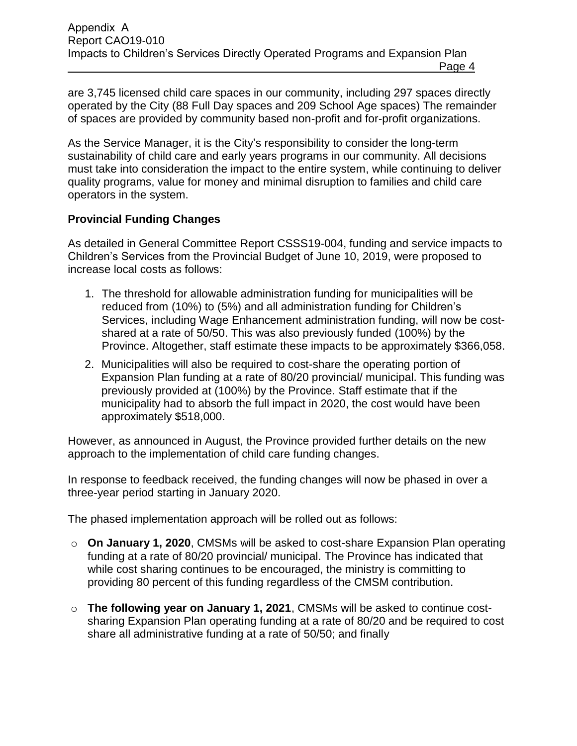are 3,745 licensed child care spaces in our community, including 297 spaces directly operated by the City (88 Full Day spaces and 209 School Age spaces) The remainder of spaces are provided by community based non-profit and for-profit organizations.

As the Service Manager, it is the City's responsibility to consider the long-term sustainability of child care and early years programs in our community. All decisions must take into consideration the impact to the entire system, while continuing to deliver quality programs, value for money and minimal disruption to families and child care operators in the system.

#### **Provincial Funding Changes**

As detailed in General Committee Report CSSS19-004, funding and service impacts to Children's Services from the Provincial Budget of June 10, 2019, were proposed to increase local costs as follows:

- 1. The threshold for allowable administration funding for municipalities will be reduced from (10%) to (5%) and all administration funding for Children's Services, including Wage Enhancement administration funding, will now be costshared at a rate of 50/50. This was also previously funded (100%) by the Province. Altogether, staff estimate these impacts to be approximately \$366,058.
- 2. Municipalities will also be required to cost-share the operating portion of Expansion Plan funding at a rate of 80/20 provincial/ municipal. This funding was previously provided at (100%) by the Province. Staff estimate that if the municipality had to absorb the full impact in 2020, the cost would have been approximately \$518,000.

However, as announced in August, the Province provided further details on the new approach to the implementation of child care funding changes.

In response to feedback received, the funding changes will now be phased in over a three-year period starting in January 2020.

The phased implementation approach will be rolled out as follows:

- o **On January 1, 2020**, CMSMs will be asked to cost-share Expansion Plan operating funding at a rate of 80/20 provincial/ municipal. The Province has indicated that while cost sharing continues to be encouraged, the ministry is committing to providing 80 percent of this funding regardless of the CMSM contribution.
- o **The following year on January 1, 2021**, CMSMs will be asked to continue costsharing Expansion Plan operating funding at a rate of 80/20 and be required to cost share all administrative funding at a rate of 50/50; and finally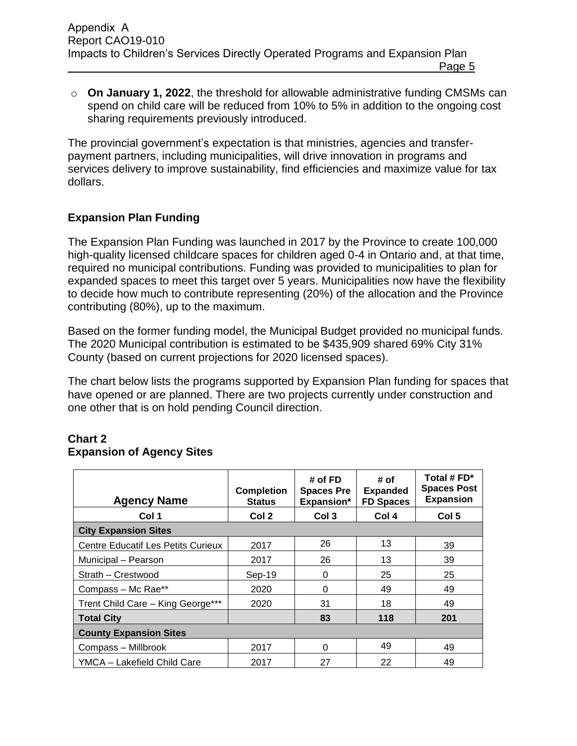o **On January 1, 2022**, the threshold for allowable administrative funding CMSMs can spend on child care will be reduced from 10% to 5% in addition to the ongoing cost sharing requirements previously introduced.

The provincial government's expectation is that ministries, agencies and transferpayment partners, including municipalities, will drive innovation in programs and services delivery to improve sustainability, find efficiencies and maximize value for tax dollars.

### **Expansion Plan Funding**

The Expansion Plan Funding was launched in 2017 by the Province to create 100,000 high-quality licensed childcare spaces for children aged 0-4 in Ontario and, at that time, required no municipal contributions. Funding was provided to municipalities to plan for expanded spaces to meet this target over 5 years. Municipalities now have the flexibility to decide how much to contribute representing (20%) of the allocation and the Province contributing (80%), up to the maximum.

Based on the former funding model, the Municipal Budget provided no municipal funds. The 2020 Municipal contribution is estimated to be \$435,909 shared 69% City 31% County (based on current projections for 2020 licensed spaces).

The chart below lists the programs supported by Expansion Plan funding for spaces that have opened or are planned. There are two projects currently under construction and one other that is on hold pending Council direction.

#### **Chart 2 Expansion of Agency Sites**

| <b>Agency Name</b>                        | <b>Completion</b><br><b>Status</b> | # of FD<br><b>Spaces Pre</b><br>Expansion* | # of<br><b>Expanded</b><br><b>FD Spaces</b> | Total # $FD^*$<br><b>Spaces Post</b><br><b>Expansion</b> |  |
|-------------------------------------------|------------------------------------|--------------------------------------------|---------------------------------------------|----------------------------------------------------------|--|
| Col 1                                     | Col 2                              | Col 3                                      | Col 4                                       | Col 5                                                    |  |
| <b>City Expansion Sites</b>               |                                    |                                            |                                             |                                                          |  |
| <b>Centre Educatif Les Petits Curieux</b> | 2017                               | 26                                         | 13                                          | 39                                                       |  |
| Municipal - Pearson                       | 2017                               | 26                                         | 13                                          | 39                                                       |  |
| Strath - Crestwood                        | Sep-19                             | 0                                          | 25                                          | 25                                                       |  |
| Compass - Mc Rae**                        | 2020                               | 0                                          | 49                                          | 49                                                       |  |
| Trent Child Care - King George***         | 2020                               | 31                                         | 18                                          | 49                                                       |  |
| <b>Total City</b>                         |                                    | 83                                         | 118                                         | 201                                                      |  |
| <b>County Expansion Sites</b>             |                                    |                                            |                                             |                                                          |  |
| Compass - Millbrook                       | 2017                               | 0                                          | 49                                          | 49                                                       |  |
| YMCA - Lakefield Child Care               | 2017                               | 27                                         | 22                                          | 49                                                       |  |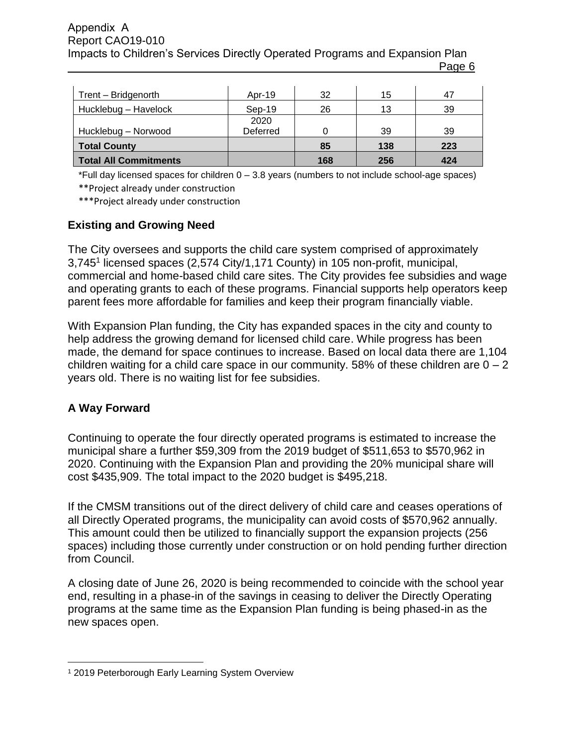#### Report CAO19-010 Impacts to Children's Services Directly Operated Programs and Expansion Plan Page 6 Appendix A

| Trent - Bridgenorth   | Apr-19   | 32  | 15  | 47  |
|-----------------------|----------|-----|-----|-----|
| Hucklebug - Havelock  | $Sep-19$ | 26  | 13  | 39  |
|                       | 2020     |     |     |     |
| Hucklebug - Norwood   | Deferred |     | 39  | 39  |
| <b>Total County</b>   |          | 85  | 138 | 223 |
| Total All Commitments |          | 168 | 256 | 424 |

\*Full day licensed spaces for children 0 – 3.8 years (numbers to not include school-age spaces) \*\*Project already under construction

\*\*\*Project already under construction

#### **Existing and Growing Need**

The City oversees and supports the child care system comprised of approximately 3,745<sup>1</sup> licensed spaces (2,574 City/1,171 County) in 105 non-profit, municipal, commercial and home-based child care sites. The City provides fee subsidies and wage and operating grants to each of these programs. Financial supports help operators keep parent fees more affordable for families and keep their program financially viable.

With Expansion Plan funding, the City has expanded spaces in the city and county to help address the growing demand for licensed child care. While progress has been made, the demand for space continues to increase. Based on local data there are 1,104 children waiting for a child care space in our community. 58% of these children are  $0 - 2$ years old. There is no waiting list for fee subsidies.

### **A Way Forward**

Continuing to operate the four directly operated programs is estimated to increase the municipal share a further \$59,309 from the 2019 budget of \$511,653 to \$570,962 in 2020. Continuing with the Expansion Plan and providing the 20% municipal share will cost \$435,909. The total impact to the 2020 budget is \$495,218.

If the CMSM transitions out of the direct delivery of child care and ceases operations of all Directly Operated programs, the municipality can avoid costs of \$570,962 annually. This amount could then be utilized to financially support the expansion projects (256 spaces) including those currently under construction or on hold pending further direction from Council.

A closing date of June 26, 2020 is being recommended to coincide with the school year end, resulting in a phase-in of the savings in ceasing to deliver the Directly Operating programs at the same time as the Expansion Plan funding is being phased-in as the new spaces open.

 $\overline{a}$ <sup>1</sup> 2019 Peterborough Early Learning System Overview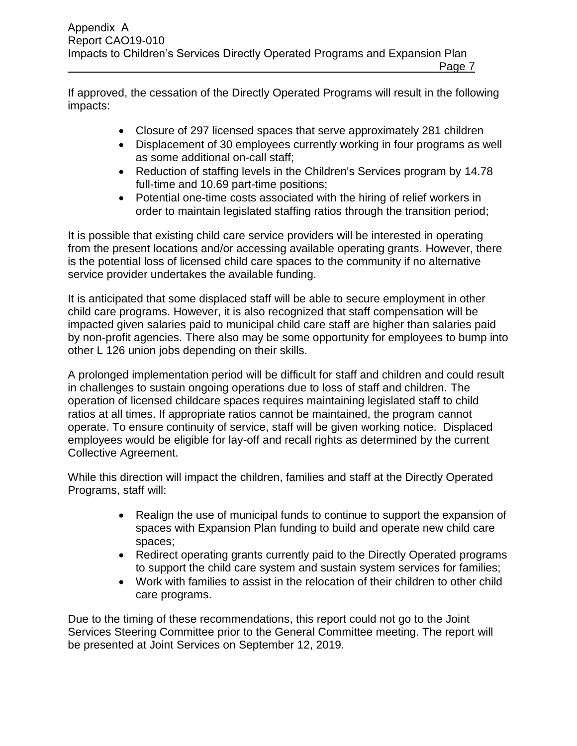Page 7

If approved, the cessation of the Directly Operated Programs will result in the following impacts:

- Closure of 297 licensed spaces that serve approximately 281 children
- Displacement of 30 employees currently working in four programs as well as some additional on-call staff;
- Reduction of staffing levels in the Children's Services program by 14.78 full-time and 10.69 part-time positions;
- Potential one-time costs associated with the hiring of relief workers in order to maintain legislated staffing ratios through the transition period;

It is possible that existing child care service providers will be interested in operating from the present locations and/or accessing available operating grants. However, there is the potential loss of licensed child care spaces to the community if no alternative service provider undertakes the available funding.

It is anticipated that some displaced staff will be able to secure employment in other child care programs. However, it is also recognized that staff compensation will be impacted given salaries paid to municipal child care staff are higher than salaries paid by non-profit agencies. There also may be some opportunity for employees to bump into other L 126 union jobs depending on their skills.

A prolonged implementation period will be difficult for staff and children and could result in challenges to sustain ongoing operations due to loss of staff and children. The operation of licensed childcare spaces requires maintaining legislated staff to child ratios at all times. If appropriate ratios cannot be maintained, the program cannot operate. To ensure continuity of service, staff will be given working notice. Displaced employees would be eligible for lay-off and recall rights as determined by the current Collective Agreement.

While this direction will impact the children, families and staff at the Directly Operated Programs, staff will:

- Realign the use of municipal funds to continue to support the expansion of spaces with Expansion Plan funding to build and operate new child care spaces;
- Redirect operating grants currently paid to the Directly Operated programs to support the child care system and sustain system services for families;
- Work with families to assist in the relocation of their children to other child care programs.

Due to the timing of these recommendations, this report could not go to the Joint Services Steering Committee prior to the General Committee meeting. The report will be presented at Joint Services on September 12, 2019.